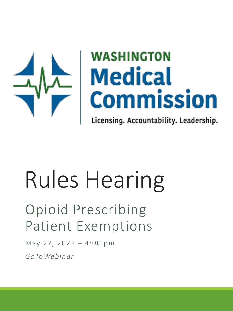

# **WASHINGTON** Medical<br>Commission

Licensing. Accountability. Leadership.

# Rules Hearing

# Opioid Prescribing Patient Exemptions

May 27, 2022 – 4:00 pm *GoToWebinar*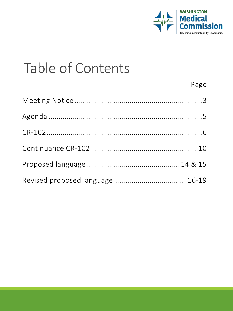

 $P \cap \sigma \cap$ 

# Table of Contents

| Revised proposed language  16-19 |  |
|----------------------------------|--|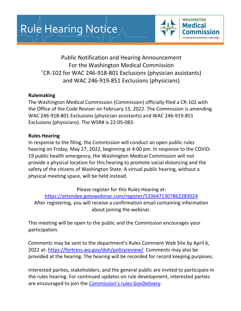

Public Notification and Hearing Announcement For the Washington Medical Commission \*CR-102 for WAC 246-918-801 Exclusions (physician assistants) and WAC 246-919-851 Exclusions (physicians)

### **Rulemaking**

The Washington Medical Commission (Commission) officially filed a CR-102 with the Office of the Code Reviser on February 15, 2022. The Commission is amending WAC 246-918-801 Exclusions (physician assistants) and WAC 246-919-851 Exclusions (physicians). The WSR# is 22-05-083.

### **Rules Hearing**

In response to the filing, the Commission will conduct an open public rules hearing on Friday, May 27, 2022, beginning at 4:00 pm. In response to the COVID-19 public health emergency, the Washington Medical Commission will not provide a physical location for this hearing to promote social distancing and the safety of the citizens of Washington State. A virtual public hearing, without a physical meeting space, will be held instead.

Please register for this Rules Hearing at:

<https://attendee.gotowebinar.com/register/5336471307862283024>

After registering, you will receive a confirmation email containing information about joining the webinar.

This meeting will be open to the public and the Commission encourages your participation.

Comments may be sent to the department's Rules Comment Web Site by April 6, 2022 at: [https://fortress.wa.gov/doh/policyreview/.](https://fortress.wa.gov/doh/policyreview/) Comments may also be provided at the hearing. The hearing will be recorded for record keeping purposes.

Interested parties, stakeholders, and the general public are invited to participate in the rules hearing. For continued updates on rule development, interested parties are encouraged to join the [Commission's rules GovDelivery](https://public.govdelivery.com/accounts/WAMC/subscriber/new?topic_id=WAMC_2).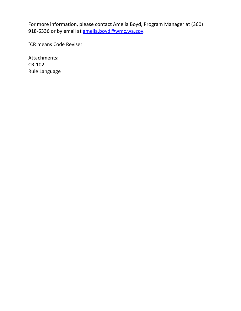For more information, please contact Amelia Boyd, Program Manager at (360) 918-6336 or by email at [amelia.boyd@wmc.wa.gov.](mailto:amelia.boyd@wmc.wa.gov)

\*CR means Code Reviser

Attachments: CR-102 Rule Language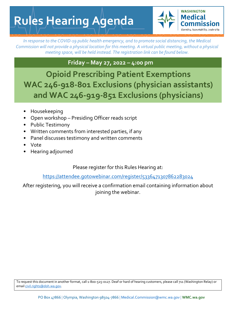**WASHINGTON Medical** Accountability, Leadership,

*In response to the COVID-19 public health emergency, and to promote social distancing, the Medical Commission will not provide a physical location for this meeting. A virtual public meeting, without a physical meeting space, will be held instead. The registration link can be found below.* 

### **Friday – May 27, 2022 – 4:00 pm**

**Opioid Prescribing Patient Exemptions WAC 246-918-801 Exclusions (physician assistants) and WAC 246-919-851 Exclusions (physicians)**

- Housekeeping
- Open workshop Presiding Officer reads script
- Public Testimony
- Written comments from interested parties, if any
- Panel discusses testimony and written comments
- Vote
- Hearing adjourned

Please register for this Rules Hearing at:

<https://attendee.gotowebinar.com/register/5336471307862283024>

After registering, you will receive a confirmation email containing information about joining the webinar.

To request this document in another format, call 1-800-525-0127. Deaf or hard of hearing customers, please call 711 (Washington Relay) or emai[l civil.rights@doh.wa.gov.](mailto:civil.rights@doh.wa.gov)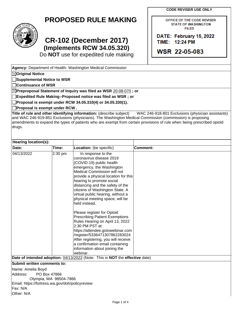**CODE REVISER USE ONLY**

OFFICE OF THE CODE REVISER **STATE OF WASHINGTON FILED** 

DATE: February 15, 2022

TIME: 12:24 PM

**WSR 22-05-083** 

**PROPOSED RULE MAKING**



**Original Notice**

## **CR-102 (December 2017) (Implements RCW 34.05.320)**

Do **NOT** use for expedited rule making

**Agency:** Department of Health- Washington Medical Commission

Page 1 of 4 **Supplemental Notice to WSR Continuance of WSR Preproposal Statement of Inquiry was filed as WSR** 20-08-070 **; or Expedited Rule Making--Proposed notice was filed as WSR ; or Proposal is exempt under RCW 34.05.310(4) or 34.05.330(1). Proposal is exempt under RCW . Title of rule and other identifying information:** (describe subject) WAC 246-918-801 Exclusions (physician assistants) and WAC 246-919-851 Exclusions (physicians). The Washington Medical Commission (commission) is proposing amendments to expand the types of patients who are exempt from certain provisions of rule when being prescribed opioid drugs. **Hearing location(s): Date: Time: Location:** (be specific) **Comment:** 04/13/2022 2:30 pm In response to the coronavirus disease 2019 (COVID-19) public health emergency, the Washington Medical Commission will not provide a physical location for this hearing to promote social distancing and the safety of the citizens of Washington State. A virtual public hearing, without a physical meeting space, will be held instead. Please register for Opioid Prescribing Patient Exemptions Rules Hearing on April 13, 2022 2:30 PM PST at: https://attendee.gotowebinar.com /register/5336471307862283024 After registering, you will receive a confirmation email containing information about joining the webinar. **Date of intended adoption:** 04/13/2022 (Note: This is **NOT** the **effective** date) **Submit written comments to:** Name: Amelia Boyd Address: PO Box 47866 Olympia, WA 98504-7866 Email: https://fortress.wa.gov/doh/policyreview Fax: N/A Other: N/A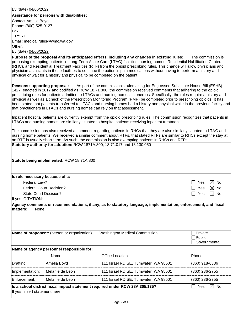|                                                                                                                                                                                                                                                                                                                                                                                                                                        | By (date) 04/06/2022                                                                                                                                                                                                                                                                                                                                                                                                                                                                                                                                                                      |                                                                                                                                                                                                                                                                                                                                                                                                                                                                                                                                                                                                         |                                                      |  |
|----------------------------------------------------------------------------------------------------------------------------------------------------------------------------------------------------------------------------------------------------------------------------------------------------------------------------------------------------------------------------------------------------------------------------------------|-------------------------------------------------------------------------------------------------------------------------------------------------------------------------------------------------------------------------------------------------------------------------------------------------------------------------------------------------------------------------------------------------------------------------------------------------------------------------------------------------------------------------------------------------------------------------------------------|---------------------------------------------------------------------------------------------------------------------------------------------------------------------------------------------------------------------------------------------------------------------------------------------------------------------------------------------------------------------------------------------------------------------------------------------------------------------------------------------------------------------------------------------------------------------------------------------------------|------------------------------------------------------|--|
|                                                                                                                                                                                                                                                                                                                                                                                                                                        | Assistance for persons with disabilities:                                                                                                                                                                                                                                                                                                                                                                                                                                                                                                                                                 |                                                                                                                                                                                                                                                                                                                                                                                                                                                                                                                                                                                                         |                                                      |  |
| Contact Amelia Boyd                                                                                                                                                                                                                                                                                                                                                                                                                    |                                                                                                                                                                                                                                                                                                                                                                                                                                                                                                                                                                                           |                                                                                                                                                                                                                                                                                                                                                                                                                                                                                                                                                                                                         |                                                      |  |
| Phone: (800) 525-0127                                                                                                                                                                                                                                                                                                                                                                                                                  |                                                                                                                                                                                                                                                                                                                                                                                                                                                                                                                                                                                           |                                                                                                                                                                                                                                                                                                                                                                                                                                                                                                                                                                                                         |                                                      |  |
| Fax:<br><b>TTY: 711</b>                                                                                                                                                                                                                                                                                                                                                                                                                |                                                                                                                                                                                                                                                                                                                                                                                                                                                                                                                                                                                           |                                                                                                                                                                                                                                                                                                                                                                                                                                                                                                                                                                                                         |                                                      |  |
|                                                                                                                                                                                                                                                                                                                                                                                                                                        | Email: medical.rules@wmc.wa.gov                                                                                                                                                                                                                                                                                                                                                                                                                                                                                                                                                           |                                                                                                                                                                                                                                                                                                                                                                                                                                                                                                                                                                                                         |                                                      |  |
| Other:                                                                                                                                                                                                                                                                                                                                                                                                                                 |                                                                                                                                                                                                                                                                                                                                                                                                                                                                                                                                                                                           |                                                                                                                                                                                                                                                                                                                                                                                                                                                                                                                                                                                                         |                                                      |  |
| By (date) 04/06/2022                                                                                                                                                                                                                                                                                                                                                                                                                   |                                                                                                                                                                                                                                                                                                                                                                                                                                                                                                                                                                                           |                                                                                                                                                                                                                                                                                                                                                                                                                                                                                                                                                                                                         |                                                      |  |
|                                                                                                                                                                                                                                                                                                                                                                                                                                        | Purpose of the proposal and its anticipated effects, including any changes in existing rules:<br>The commission is<br>proposing exempting patients in Long-Term Acute Care (LTAC) facilities, nursing homes, Residential Habilitation Centers<br>(RHC), and Residential Treatment Facilities (RTF) from the opioid prescribing rules. This change will allow physicians and<br>physician assistants in these facilities to continue the patient's pain medications without having to perform a history and<br>physical or wait for a history and physical to be completed on the patient. |                                                                                                                                                                                                                                                                                                                                                                                                                                                                                                                                                                                                         |                                                      |  |
| <b>Reasons supporting proposal:</b>                                                                                                                                                                                                                                                                                                                                                                                                    | that practitioners in LTACs and nursing homes can rely on that assessment.                                                                                                                                                                                                                                                                                                                                                                                                                                                                                                                | As part of the commission's rulemaking for Engrossed Substitute House Bill (ESHB)<br>1427, enacted in 2017 and codified as RCW 18.71.800, the commission received comments that adhering to the opioid<br>prescribing rules for patients admitted to LTACs and nursing homes, is onerous. Specifically, the rules require a history and<br>physical as well as a check of the Prescription Monitoring Program (PMP) be completed prior to prescribing opioids. It has<br>been stated that patients transferred to LTACs and nursing homes had a history and physical while in the previous facility and |                                                      |  |
|                                                                                                                                                                                                                                                                                                                                                                                                                                        | Inpatient hospital patients are currently exempt from the opioid prescribing rules. The commission recognizes that patients in<br>LTACs and nursing homes are similarly situated to hospital patients receiving inpatient treatment.                                                                                                                                                                                                                                                                                                                                                      |                                                                                                                                                                                                                                                                                                                                                                                                                                                                                                                                                                                                         |                                                      |  |
| The commission has also received a comment regarding patients in RHCs that they are also similarly situated to LTAC and<br>nursing home patients. We received a similar comment about RTFs, that stated RTFs are similar to RHCs except the stay at<br>an RTF is usually short-term. As such, the commission is also exempting patients in RHCs and RTFs.<br>Statutory authority for adoption: RCW 1871A.800, 18.71.017 and 18.130.050 |                                                                                                                                                                                                                                                                                                                                                                                                                                                                                                                                                                                           |                                                                                                                                                                                                                                                                                                                                                                                                                                                                                                                                                                                                         |                                                      |  |
|                                                                                                                                                                                                                                                                                                                                                                                                                                        | Statute being implemented: RCW 18.71A.800                                                                                                                                                                                                                                                                                                                                                                                                                                                                                                                                                 |                                                                                                                                                                                                                                                                                                                                                                                                                                                                                                                                                                                                         |                                                      |  |
| Is rule necessary because of a:                                                                                                                                                                                                                                                                                                                                                                                                        |                                                                                                                                                                                                                                                                                                                                                                                                                                                                                                                                                                                           |                                                                                                                                                                                                                                                                                                                                                                                                                                                                                                                                                                                                         |                                                      |  |
| Federal Law?                                                                                                                                                                                                                                                                                                                                                                                                                           |                                                                                                                                                                                                                                                                                                                                                                                                                                                                                                                                                                                           |                                                                                                                                                                                                                                                                                                                                                                                                                                                                                                                                                                                                         | $\Box$ Yes<br>$\boxtimes$ No                         |  |
|                                                                                                                                                                                                                                                                                                                                                                                                                                        | <b>Federal Court Decision?</b>                                                                                                                                                                                                                                                                                                                                                                                                                                                                                                                                                            |                                                                                                                                                                                                                                                                                                                                                                                                                                                                                                                                                                                                         | $\boxtimes$ No<br>Yes                                |  |
| <b>State Court Decision?</b><br>Yes                                                                                                                                                                                                                                                                                                                                                                                                    |                                                                                                                                                                                                                                                                                                                                                                                                                                                                                                                                                                                           |                                                                                                                                                                                                                                                                                                                                                                                                                                                                                                                                                                                                         | $\boxtimes$ No                                       |  |
| If yes, CITATION:                                                                                                                                                                                                                                                                                                                                                                                                                      |                                                                                                                                                                                                                                                                                                                                                                                                                                                                                                                                                                                           |                                                                                                                                                                                                                                                                                                                                                                                                                                                                                                                                                                                                         |                                                      |  |
| matters:<br>None                                                                                                                                                                                                                                                                                                                                                                                                                       |                                                                                                                                                                                                                                                                                                                                                                                                                                                                                                                                                                                           | Agency comments or recommendations, if any, as to statutory language, implementation, enforcement, and fiscal                                                                                                                                                                                                                                                                                                                                                                                                                                                                                           |                                                      |  |
|                                                                                                                                                                                                                                                                                                                                                                                                                                        | Name of proponent: (person or organization)                                                                                                                                                                                                                                                                                                                                                                                                                                                                                                                                               | <b>Washington Medical Commission</b>                                                                                                                                                                                                                                                                                                                                                                                                                                                                                                                                                                    | <b>Private</b><br>Public<br>$\boxtimes$ Governmental |  |
|                                                                                                                                                                                                                                                                                                                                                                                                                                        | Name of agency personnel responsible for:                                                                                                                                                                                                                                                                                                                                                                                                                                                                                                                                                 |                                                                                                                                                                                                                                                                                                                                                                                                                                                                                                                                                                                                         |                                                      |  |
|                                                                                                                                                                                                                                                                                                                                                                                                                                        | Name                                                                                                                                                                                                                                                                                                                                                                                                                                                                                                                                                                                      | <b>Office Location</b>                                                                                                                                                                                                                                                                                                                                                                                                                                                                                                                                                                                  | Phone                                                |  |
| Drafting:                                                                                                                                                                                                                                                                                                                                                                                                                              | Amelia Boyd                                                                                                                                                                                                                                                                                                                                                                                                                                                                                                                                                                               | 111 Israel RD SE, Tumwater, WA 98501                                                                                                                                                                                                                                                                                                                                                                                                                                                                                                                                                                    | $(360)$ 918-6336                                     |  |
| Implementation:                                                                                                                                                                                                                                                                                                                                                                                                                        | Melanie de Leon                                                                                                                                                                                                                                                                                                                                                                                                                                                                                                                                                                           | 111 Israel RD SE, Tumwater, WA 98501                                                                                                                                                                                                                                                                                                                                                                                                                                                                                                                                                                    | (360) 236-2755                                       |  |
| Enforcement:                                                                                                                                                                                                                                                                                                                                                                                                                           | Melanie de Leon                                                                                                                                                                                                                                                                                                                                                                                                                                                                                                                                                                           | 111 Israel RD SE, Tumwater, WA 98501                                                                                                                                                                                                                                                                                                                                                                                                                                                                                                                                                                    | (360) 236-2755                                       |  |
| If yes, insert statement here:                                                                                                                                                                                                                                                                                                                                                                                                         |                                                                                                                                                                                                                                                                                                                                                                                                                                                                                                                                                                                           | Is a school district fiscal impact statement required under RCW 28A.305.135?                                                                                                                                                                                                                                                                                                                                                                                                                                                                                                                            | Yes<br>$\boxtimes$ No                                |  |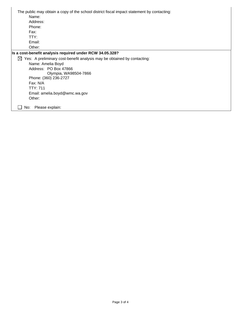| The public may obtain a copy of the school district fiscal impact statement by contacting: |
|--------------------------------------------------------------------------------------------|
| Name:                                                                                      |
| Address:                                                                                   |
| Phone:                                                                                     |
| Fax:                                                                                       |
| TTY:                                                                                       |
| Email:                                                                                     |
| Other:                                                                                     |
| Is a cost-benefit analysis required under RCW 34.05.328?                                   |
| Yes: A preliminary cost-benefit analysis may be obtained by contacting:<br>⊠               |
| Name: Amelia Boyd                                                                          |
| Address: PO Box 47866                                                                      |
| Olympia, WA98504-7866                                                                      |
| Phone: (360) 236-2727                                                                      |
| Fax: N/A                                                                                   |
| <b>TTY: 711</b>                                                                            |
| Email: amelia.boyd@wmc.wa.gov                                                              |
| Other:                                                                                     |
| Please explain:<br>No:                                                                     |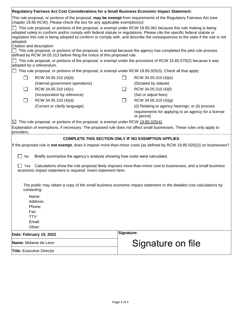| Regulatory Fairness Act Cost Considerations for a Small Business Economic Impact Statement:                                                                                                                                                                                                                                                                                    |                                                                                                                    |  |  |  |
|--------------------------------------------------------------------------------------------------------------------------------------------------------------------------------------------------------------------------------------------------------------------------------------------------------------------------------------------------------------------------------|--------------------------------------------------------------------------------------------------------------------|--|--|--|
| This rule proposal, or portions of the proposal, may be exempt from requirements of the Regulatory Fairness Act (see<br>chapter 19.85 RCW). Please check the box for any applicable exemption(s):                                                                                                                                                                              |                                                                                                                    |  |  |  |
| This rule proposal, or portions of the proposal, is exempt under RCW 19.85.061 because this rule making is being<br>adopted solely to conform and/or comply with federal statute or regulations. Please cite the specific federal statute or<br>regulation this rule is being adopted to conform or comply with, and describe the consequences to the state if the rule is not |                                                                                                                    |  |  |  |
| adopted.                                                                                                                                                                                                                                                                                                                                                                       |                                                                                                                    |  |  |  |
| Citation and description:<br>This rule proposal, or portions of the proposal, is exempt because the agency has completed the pilot rule process<br>defined by RCW 34.05.313 before filing the notice of this proposed rule.                                                                                                                                                    |                                                                                                                    |  |  |  |
|                                                                                                                                                                                                                                                                                                                                                                                | This rule proposal, or portions of the proposal, is exempt under the provisions of RCW 15.65.570(2) because it was |  |  |  |
| adopted by a referendum.<br>This rule proposal, or portions of the proposal, is exempt under RCW 19.85.025(3). Check all that apply:                                                                                                                                                                                                                                           |                                                                                                                    |  |  |  |
|                                                                                                                                                                                                                                                                                                                                                                                |                                                                                                                    |  |  |  |
| RCW 34.05.310 (4)(b)                                                                                                                                                                                                                                                                                                                                                           | RCW 34.05.310 (4)(e)                                                                                               |  |  |  |
| (Internal government operations)                                                                                                                                                                                                                                                                                                                                               | (Dictated by statute)                                                                                              |  |  |  |
| RCW 34.05.310 (4)(c)                                                                                                                                                                                                                                                                                                                                                           | RCW 34.05.310 (4)(f)                                                                                               |  |  |  |
| (Incorporation by reference)                                                                                                                                                                                                                                                                                                                                                   | (Set or adjust fees)                                                                                               |  |  |  |
| RCW 34.05.310 (4)(d)                                                                                                                                                                                                                                                                                                                                                           | RCW 34.05.310 (4)(g)<br>$\Box$                                                                                     |  |  |  |
| (Correct or clarify language)                                                                                                                                                                                                                                                                                                                                                  | (i) Relating to agency hearings; or (ii) process                                                                   |  |  |  |
|                                                                                                                                                                                                                                                                                                                                                                                | requirements for applying to an agency for a license<br>or permit)                                                 |  |  |  |
| $\boxtimes$ This rule proposal, or portions of the proposal, is exempt under RCW 19.85.025(4).                                                                                                                                                                                                                                                                                 |                                                                                                                    |  |  |  |
| Explanation of exemptions, if necessary: The proposed rule does not affect small businesses. These rules only apply to                                                                                                                                                                                                                                                         |                                                                                                                    |  |  |  |
| providers.                                                                                                                                                                                                                                                                                                                                                                     |                                                                                                                    |  |  |  |
|                                                                                                                                                                                                                                                                                                                                                                                | <b>COMPLETE THIS SECTION ONLY IF NO EXEMPTION APPLIES</b>                                                          |  |  |  |
| If the proposed rule is not exempt, does it impose more-than-minor costs (as defined by RCW 19.85.020(2)) on businesses?                                                                                                                                                                                                                                                       |                                                                                                                    |  |  |  |
| Briefly summarize the agency's analysis showing how costs were calculated.<br>No                                                                                                                                                                                                                                                                                               |                                                                                                                    |  |  |  |
| Calculations show the rule proposal likely imposes more-than-minor cost to businesses, and a small business<br>Yes<br>economic impact statement is required. Insert statement here:                                                                                                                                                                                            |                                                                                                                    |  |  |  |
|                                                                                                                                                                                                                                                                                                                                                                                |                                                                                                                    |  |  |  |
| The public may obtain a copy of the small business economic impact statement or the detailed cost calculations by<br>contacting:                                                                                                                                                                                                                                               |                                                                                                                    |  |  |  |
| Name:                                                                                                                                                                                                                                                                                                                                                                          |                                                                                                                    |  |  |  |
| Address:                                                                                                                                                                                                                                                                                                                                                                       |                                                                                                                    |  |  |  |
| Phone:                                                                                                                                                                                                                                                                                                                                                                         |                                                                                                                    |  |  |  |
| Fax:                                                                                                                                                                                                                                                                                                                                                                           |                                                                                                                    |  |  |  |
| TTY:                                                                                                                                                                                                                                                                                                                                                                           |                                                                                                                    |  |  |  |
| Email:                                                                                                                                                                                                                                                                                                                                                                         |                                                                                                                    |  |  |  |
| Other:                                                                                                                                                                                                                                                                                                                                                                         |                                                                                                                    |  |  |  |
| Date: February 15, 2022                                                                                                                                                                                                                                                                                                                                                        | Signature:                                                                                                         |  |  |  |
| Name: Melanie de Leon                                                                                                                                                                                                                                                                                                                                                          | Signature on file                                                                                                  |  |  |  |
| <b>Title: Executive Director</b>                                                                                                                                                                                                                                                                                                                                               |                                                                                                                    |  |  |  |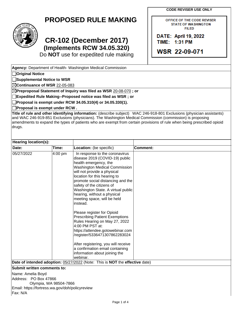**CODE REVISER USE ONLY**

OFFICE OF THE CODE REVISER **STATE OF WASHINGTON FILED** 

DATE: April 19, 2022 TIME: 1:31 PM

WSR 22-09-071

## **PROPOSED RULE MAKING**



**Original Notice**

**Supplemental Notice to WSR**

# **CR-102 (December 2017) (Implements RCW 34.05.320)**

Do **NOT** use for expedited rule making

**Agency:** Department of Health- Washington Medical Commission

| ⊠Continuance of WSR 22-05-083                   |                                       |                                                                                                          |                                                                                                                        |
|-------------------------------------------------|---------------------------------------|----------------------------------------------------------------------------------------------------------|------------------------------------------------------------------------------------------------------------------------|
|                                                 |                                       | $\boxtimes$ Preproposal Statement of Inquiry was filed as WSR $\underline{20\text{-}08\text{-}070}$ ; or |                                                                                                                        |
|                                                 |                                       | Expedited Rule Making--Proposed notice was filed as WSR ; or                                             |                                                                                                                        |
|                                                 |                                       | Proposal is exempt under RCW 34.05.310(4) or 34.05.330(1).                                               |                                                                                                                        |
|                                                 | $\Box$ Proposal is exempt under RCW . |                                                                                                          |                                                                                                                        |
|                                                 |                                       |                                                                                                          | Title of rule and other identifying information: (describe subject) WAC 246-918-801 Exclusions (physician assistants)  |
|                                                 |                                       |                                                                                                          | and WAC 246-919-851 Exclusions (physicians). The Washington Medical Commission (commission) is proposing               |
|                                                 |                                       |                                                                                                          | amendments to expand the types of patients who are exempt from certain provisions of rule when being prescribed opioid |
| drugs.                                          |                                       |                                                                                                          |                                                                                                                        |
|                                                 |                                       |                                                                                                          |                                                                                                                        |
| Hearing location(s):                            |                                       |                                                                                                          |                                                                                                                        |
| Date:                                           | Time:                                 | Location: (be specific)                                                                                  | <b>Comment:</b>                                                                                                        |
| 05/27/2022                                      | 4:00 pm                               | In response to the coronavirus                                                                           |                                                                                                                        |
|                                                 |                                       | disease 2019 (COVID-19) public                                                                           |                                                                                                                        |
|                                                 |                                       | health emergency, the                                                                                    |                                                                                                                        |
|                                                 |                                       | <b>Washington Medical Commission</b>                                                                     |                                                                                                                        |
|                                                 |                                       | will not provide a physical                                                                              |                                                                                                                        |
|                                                 |                                       | location for this hearing to                                                                             |                                                                                                                        |
|                                                 |                                       | promote social distancing and the                                                                        |                                                                                                                        |
|                                                 |                                       | safety of the citizens of                                                                                |                                                                                                                        |
|                                                 |                                       | Washington State. A virtual public<br>hearing, without a physical                                        |                                                                                                                        |
|                                                 |                                       | meeting space, will be held                                                                              |                                                                                                                        |
|                                                 |                                       | instead.                                                                                                 |                                                                                                                        |
|                                                 |                                       |                                                                                                          |                                                                                                                        |
|                                                 |                                       | Please register for Opioid<br><b>Prescribing Patient Exemptions</b>                                      |                                                                                                                        |
|                                                 |                                       | Rules Hearing on May 27, 2022                                                                            |                                                                                                                        |
|                                                 |                                       | 4:00 PM PST at:                                                                                          |                                                                                                                        |
|                                                 |                                       | https://attendee.gotowebinar.com                                                                         |                                                                                                                        |
|                                                 |                                       | /register/5336471307862283024                                                                            |                                                                                                                        |
|                                                 |                                       | After registering, you will receive                                                                      |                                                                                                                        |
|                                                 |                                       | a confirmation email containing                                                                          |                                                                                                                        |
|                                                 |                                       | information about joining the                                                                            |                                                                                                                        |
|                                                 |                                       | webinar.                                                                                                 |                                                                                                                        |
|                                                 |                                       | Date of intended adoption: 05/27/2022 (Note: This is NOT the effective date)                             |                                                                                                                        |
| Submit written comments to:                     |                                       |                                                                                                          |                                                                                                                        |
| Name: Amelia Boyd                               |                                       |                                                                                                          |                                                                                                                        |
| Address: PO Box 47866                           |                                       |                                                                                                          |                                                                                                                        |
|                                                 | Olympia, WA 98504-7866                |                                                                                                          |                                                                                                                        |
| Email: https://fortress.wa.gov/doh/policyreview |                                       |                                                                                                          |                                                                                                                        |
| Fax: N/A                                        |                                       |                                                                                                          |                                                                                                                        |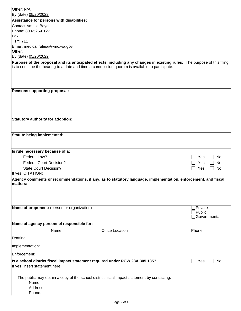| Other: N/A                                                                                                               |                             |
|--------------------------------------------------------------------------------------------------------------------------|-----------------------------|
| By (date) 05/20/2022                                                                                                     |                             |
| Assistance for persons with disabilities:                                                                                |                             |
| Contact Amelia Boyd                                                                                                      |                             |
| Phone: 800-525-0127                                                                                                      |                             |
| Fax:<br><b>TTY: 711</b>                                                                                                  |                             |
| Email: medical.rules@wmc.wa.gov                                                                                          |                             |
| Other:                                                                                                                   |                             |
| By (date) 05/20/2022                                                                                                     |                             |
| Purpose of the proposal and its anticipated effects, including any changes in existing rules: The purpose of this filing |                             |
| is to continue the hearing to a date and time a commission quorum is available to participate.                           |                             |
|                                                                                                                          |                             |
|                                                                                                                          |                             |
|                                                                                                                          |                             |
| <b>Reasons supporting proposal:</b>                                                                                      |                             |
|                                                                                                                          |                             |
|                                                                                                                          |                             |
|                                                                                                                          |                             |
|                                                                                                                          |                             |
| <b>Statutory authority for adoption:</b>                                                                                 |                             |
|                                                                                                                          |                             |
|                                                                                                                          |                             |
| Statute being implemented:                                                                                               |                             |
|                                                                                                                          |                             |
|                                                                                                                          |                             |
| Is rule necessary because of a:                                                                                          |                             |
| Federal Law?                                                                                                             | Yes<br>No                   |
| <b>Federal Court Decision?</b>                                                                                           | Yes<br>No                   |
| <b>State Court Decision?</b>                                                                                             | Yes<br>No<br>$\blacksquare$ |
| If yes, CITATION:                                                                                                        |                             |
| Agency comments or recommendations, if any, as to statutory language, implementation, enforcement, and fiscal            |                             |
| matters:                                                                                                                 |                             |
|                                                                                                                          |                             |
|                                                                                                                          |                             |
|                                                                                                                          |                             |
| Name of proponent: (person or organization)                                                                              | Private<br>Public           |
|                                                                                                                          | Governmental                |
|                                                                                                                          |                             |
| Name of agency personnel responsible for:                                                                                |                             |
| Name<br><b>Office Location</b>                                                                                           | Phone                       |
| Drafting:                                                                                                                |                             |
| Implementation:                                                                                                          |                             |
| Enforcement:                                                                                                             |                             |
|                                                                                                                          |                             |
| Is a school district fiscal impact statement required under RCW 28A.305.135?                                             | No<br>Yes                   |
| If yes, insert statement here:                                                                                           |                             |
|                                                                                                                          |                             |
| The public may obtain a copy of the school district fiscal impact statement by contacting:<br>Name:                      |                             |
| Address:                                                                                                                 |                             |
| Phone:                                                                                                                   |                             |
|                                                                                                                          |                             |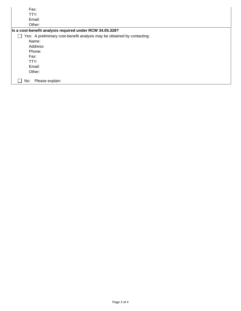| Fax:                                                                                                |  |
|-----------------------------------------------------------------------------------------------------|--|
| TTY:                                                                                                |  |
| Email:                                                                                              |  |
| Other:                                                                                              |  |
| Is a cost-benefit analysis required under RCW 34.05.328?                                            |  |
| Yes: A preliminary cost-benefit analysis may be obtained by contacting:<br>$\overline{\phantom{a}}$ |  |
| Name:                                                                                               |  |
| Address:                                                                                            |  |
| Phone:                                                                                              |  |
| Fax:                                                                                                |  |
| TTY:                                                                                                |  |
| Email:                                                                                              |  |
| Other:                                                                                              |  |
| Please explain:<br>No:                                                                              |  |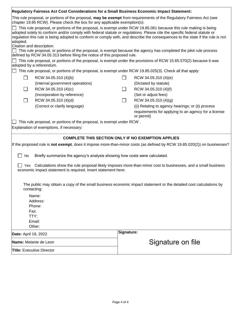|                                                                                                                                                                                                                                                                                                                                                                                            | Regulatory Fairness Act Cost Considerations for a Small Business Economic Impact Statement:              |                   |                                                                                                                    |  |
|--------------------------------------------------------------------------------------------------------------------------------------------------------------------------------------------------------------------------------------------------------------------------------------------------------------------------------------------------------------------------------------------|----------------------------------------------------------------------------------------------------------|-------------------|--------------------------------------------------------------------------------------------------------------------|--|
| This rule proposal, or portions of the proposal, may be exempt from requirements of the Regulatory Fairness Act (see<br>chapter 19.85 RCW). Please check the box for any applicable exemption(s):                                                                                                                                                                                          |                                                                                                          |                   |                                                                                                                    |  |
| This rule proposal, or portions of the proposal, is exempt under RCW 19.85.061 because this rule making is being<br>adopted solely to conform and/or comply with federal statute or regulations. Please cite the specific federal statute or<br>regulation this rule is being adopted to conform or comply with, and describe the consequences to the state if the rule is not<br>adopted. |                                                                                                          |                   |                                                                                                                    |  |
|                                                                                                                                                                                                                                                                                                                                                                                            | Citation and description:                                                                                |                   |                                                                                                                    |  |
|                                                                                                                                                                                                                                                                                                                                                                                            | defined by RCW 34.05.313 before filing the notice of this proposed rule.                                 |                   | This rule proposal, or portions of the proposal, is exempt because the agency has completed the pilot rule process |  |
|                                                                                                                                                                                                                                                                                                                                                                                            | adopted by a referendum.                                                                                 |                   | This rule proposal, or portions of the proposal, is exempt under the provisions of RCW 15.65.570(2) because it was |  |
|                                                                                                                                                                                                                                                                                                                                                                                            | This rule proposal, or portions of the proposal, is exempt under RCW 19.85.025(3). Check all that apply: |                   |                                                                                                                    |  |
|                                                                                                                                                                                                                                                                                                                                                                                            | RCW 34.05.310 (4)(b)                                                                                     |                   | RCW 34.05.310 (4)(e)                                                                                               |  |
|                                                                                                                                                                                                                                                                                                                                                                                            | (Internal government operations)                                                                         |                   | (Dictated by statute)                                                                                              |  |
|                                                                                                                                                                                                                                                                                                                                                                                            | RCW 34.05.310 (4)(c)                                                                                     |                   | RCW 34.05.310 (4)(f)                                                                                               |  |
|                                                                                                                                                                                                                                                                                                                                                                                            | (Incorporation by reference)                                                                             |                   | (Set or adjust fees)                                                                                               |  |
|                                                                                                                                                                                                                                                                                                                                                                                            | RCW 34.05.310 (4)(d)                                                                                     | $\vert \ \ \vert$ | RCW 34.05.310 (4)(g)                                                                                               |  |
|                                                                                                                                                                                                                                                                                                                                                                                            | (Correct or clarify language)                                                                            |                   | (i) Relating to agency hearings; or (ii) process                                                                   |  |
|                                                                                                                                                                                                                                                                                                                                                                                            |                                                                                                          |                   | requirements for applying to an agency for a license<br>or permit)                                                 |  |
|                                                                                                                                                                                                                                                                                                                                                                                            | This rule proposal, or portions of the proposal, is exempt under RCW.                                    |                   |                                                                                                                    |  |
|                                                                                                                                                                                                                                                                                                                                                                                            | Explanation of exemptions, if necessary:                                                                 |                   |                                                                                                                    |  |
|                                                                                                                                                                                                                                                                                                                                                                                            |                                                                                                          |                   |                                                                                                                    |  |
|                                                                                                                                                                                                                                                                                                                                                                                            | <b>COMPLETE THIS SECTION ONLY IF NO EXEMPTION APPLIES</b>                                                |                   |                                                                                                                    |  |
| If the proposed rule is not exempt, does it impose more-than-minor costs (as defined by RCW 19.85.020(2)) on businesses?                                                                                                                                                                                                                                                                   |                                                                                                          |                   |                                                                                                                    |  |
| No                                                                                                                                                                                                                                                                                                                                                                                         | Briefly summarize the agency's analysis showing how costs were calculated.                               |                   |                                                                                                                    |  |
| Yes.                                                                                                                                                                                                                                                                                                                                                                                       | economic impact statement is required. Insert statement here:                                            |                   | Calculations show the rule proposal likely imposes more-than-minor cost to businesses, and a small business        |  |
|                                                                                                                                                                                                                                                                                                                                                                                            |                                                                                                          |                   |                                                                                                                    |  |
| The public may obtain a copy of the small business economic impact statement or the detailed cost calculations by<br>contacting:                                                                                                                                                                                                                                                           |                                                                                                          |                   |                                                                                                                    |  |
|                                                                                                                                                                                                                                                                                                                                                                                            | Name:                                                                                                    |                   |                                                                                                                    |  |
|                                                                                                                                                                                                                                                                                                                                                                                            | Address:                                                                                                 |                   |                                                                                                                    |  |
| Phone:                                                                                                                                                                                                                                                                                                                                                                                     |                                                                                                          |                   |                                                                                                                    |  |
| Fax:                                                                                                                                                                                                                                                                                                                                                                                       |                                                                                                          |                   |                                                                                                                    |  |
| TTY:                                                                                                                                                                                                                                                                                                                                                                                       |                                                                                                          |                   |                                                                                                                    |  |
|                                                                                                                                                                                                                                                                                                                                                                                            | Email:                                                                                                   |                   |                                                                                                                    |  |
| Other:                                                                                                                                                                                                                                                                                                                                                                                     |                                                                                                          |                   |                                                                                                                    |  |
| Date: April 19, 2022                                                                                                                                                                                                                                                                                                                                                                       |                                                                                                          | Signature:        |                                                                                                                    |  |
|                                                                                                                                                                                                                                                                                                                                                                                            | Name: Melanie de Leon                                                                                    |                   | Signature on file                                                                                                  |  |
| <b>Title:</b> Executive Director                                                                                                                                                                                                                                                                                                                                                           |                                                                                                          |                   |                                                                                                                    |  |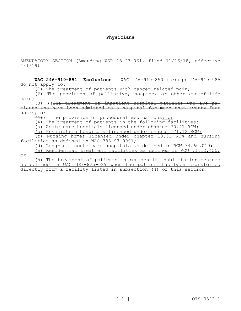#### **Physicians**

AMENDATORY SECTION (Amending WSR 18-23-061, filed 11/16/18, effective 1/1/19)

**WAC 246-919-851 Exclusions.** WAC 246-919-850 through 246-919-985 do not apply to:

(1) The treatment of patients with cancer-related pain;

(2) The provision of palliative, hospice, or other end-of-life care;

(3) ((The treatment of inpatient hospital patients who are patients who have been admitted to a hospital for more than twenty-four hours; or

 $(4)$ )) The provision of procedural medications; or

or

(4) The treatment of patients in the following facilities:

(a) Acute care hospitals licensed under chapter 70.41 RCW;

(b) Psychiatric hospitals licensed under chapter 71.12 RCW;

(c) Nursing homes licensed under chapter 18.51 RCW and nursing facilities as defined in WAC 388-97-0001;

(d) Long-term acute care hospitals as defined in RCW 74.60.010;

(e) Residential treatment facilities as defined in RCW 71.12.455;

(5) The treatment of patients in residential habilitation centers as defined in WAC 388-825-089 when the patient has been transferred directly from a facility listed in subsection (4) of this section.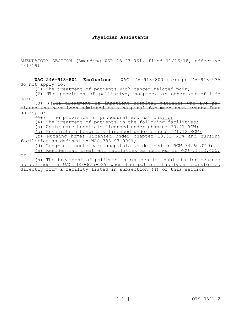#### **Physician Assistants**

AMENDATORY SECTION (Amending WSR 18-23-061, filed 11/16/18, effective 1/1/19)

**WAC 246-918-801 Exclusions.** WAC 246-918-800 through 246-918-935 do not apply to:

(1) The treatment of patients with cancer-related pain;

(2) The provision of palliative, hospice, or other end-of-life care;

(3) ((The treatment of inpatient hospital patients who are patients who have been admitted to a hospital for more than twenty-four hours; or

 $(4)$ )) The provision of procedural medications; or

(4) The treatment of patients in the following facilities:

(a) Acute care hospitals licensed under chapter 70.41 RCW;

(b) Psychiatric hospitals licensed under chapter 71.12 RCW;

(c) Nursing homes licensed under chapter 18.51 RCW and nursing facilities as defined in WAC 388-97-0001;

(d) Long-term acute care hospitals as defined in RCW 74.60.010;

(e) Residential treatment facilities as defined in RCW 71.12.455;

or

(5) The treatment of patients in residential habilitation centers as defined in WAC 388-825-089 when the patient has been transferred directly from a facility listed in subsection (4) of this section.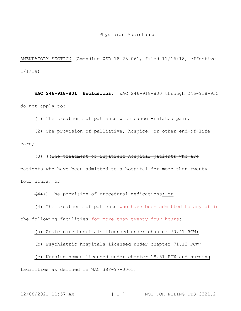AMENDATORY SECTION (Amending WSR 18-23-061, filed 11/16/18, effective 1/1/19)

**WAC 246-918-801 Exclusions.** WAC 246-918-800 through 246-918-935 do not apply to:

(1) The treatment of patients with cancer-related pain;

(2) The provision of palliative, hospice, or other end-of-life care;

(3) ((The treatment of inpatient hospital patients who are

patients who have been admitted to a hospital for more than twenty-

four hours; or

(4))) The provision of procedural medications; or

(4) The treatment of patients who have been admitted to any of  $\pm n$ the following facilities for more than twenty-four hours:

(a) Acute care hospitals licensed under chapter 70.41 RCW;

(b) Psychiatric hospitals licensed under chapter 71.12 RCW;

(c) Nursing homes licensed under chapter 18.51 RCW and nursing

facilities as defined in WAC 388-97-0001;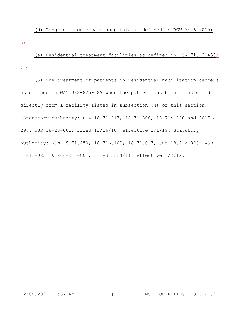(d) Long-term acute care hospitals as defined in RCW 74.60.010; or

(e) Residential treatment facilities as defined in RCW 71.12.455 $\div$ .  $\Theta$  $\angle$ 

(5) The treatment of patients in residential habilitation centers as defined in WAC 388-825-089 when the patient has been transferred directly from a facility listed in subsection (4) of this section. [Statutory Authority: RCW 18.71.017, 18.71.800, 18.71A.800 and 2017 c 297. WSR 18-23-061, filed 11/16/18, effective 1/1/19. Statutory Authority: RCW 18.71.450, 18.71A.100, 18.71.017, and 18.71A.020. WSR 11-12-025, § 246-918-801, filed 5/24/11, effective 1/2/12.]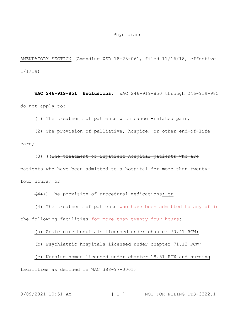#### Physicians

AMENDATORY SECTION (Amending WSR 18-23-061, filed 11/16/18, effective 1/1/19)

**WAC 246-919-851 Exclusions.** WAC 246-919-850 through 246-919-985 do not apply to:

(1) The treatment of patients with cancer-related pain;

(2) The provision of palliative, hospice, or other end-of-life care;

(3) ((The treatment of inpatient hospital patients who are

patients who have been admitted to a hospital for more than twenty-

four hours; or

(4))) The provision of procedural medications; or

(4) The treatment of patients who have been admitted to any of  $\pm n$ the following facilities for more than twenty-four hours:

(a) Acute care hospitals licensed under chapter 70.41 RCW;

(b) Psychiatric hospitals licensed under chapter 71.12 RCW;

(c) Nursing homes licensed under chapter 18.51 RCW and nursing

facilities as defined in WAC 388-97-0001;